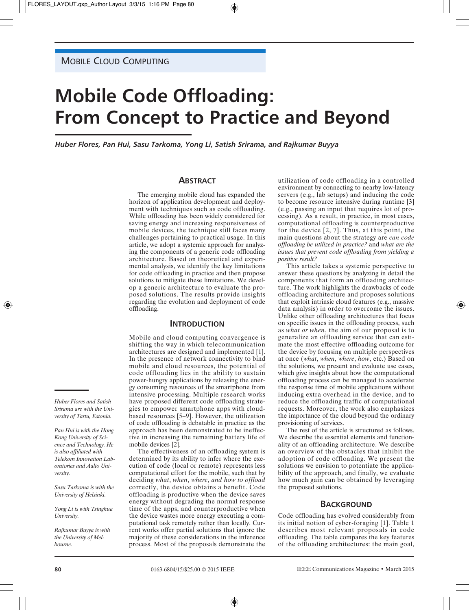# **Mobile Code Offloading: From Concept to Practice and Beyond**

*Huber Flores, Pan Hui, Sasu Tarkoma, Yong Li, Satish Srirama, and Rajkumar Buyya*

# **ABSTRACT**

The emerging mobile cloud has expanded the horizon of application development and deployment with techniques such as code offloading. While offloading has been widely considered for saving energy and increasing responsiveness of mobile devices, the technique still faces many challenges pertaining to practical usage. In this article, we adopt a systemic approach for analyzing the components of a generic code offloading architecture. Based on theoretical and experimental analysis, we identify the key limitations for code offloading in practice and then propose solutions to mitigate these limitations. We develop a generic architecture to evaluate the proposed solutions. The results provide insights regarding the evolution and deployment of code offloading.

## **INTRODUCTION**

Mobile and cloud computing convergence is shifting the way in which telecommunication architectures are designed and implemented [1]. In the presence of network connectivity to bind mobile and cloud resources, the potential of code offloading lies in the ability to sustain power-hungry applications by releasing the energy consuming resources of the smartphone from intensive processing. Multiple research works have proposed different code offloading strategies to empower smartphone apps with cloudbased resources [5–9]. However, the utilization of code offloading is debatable in practice as the approach has been demonstrated to be ineffective in increasing the remaining battery life of mobile devices [2].

The effectiveness of an offloading system is determined by its ability to infer where the execution of code (local or remote) represents less computational effort for the mobile, such that by deciding *what*, *when*, *where*, *and how to offload* correctly, the device obtains a benefit. Code offloading is productive when the device saves energy without degrading the normal response time of the apps, and counterproductive when the device wastes more energy executing a computational task remotely rather than locally. Current works offer partial solutions that ignore the majority of these considerations in the inference process. Most of the proposals demonstrate the

utilization of code offloading in a controlled environment by connecting to nearby low-latency servers (e.g., lab setups) and inducing the code to become resource intensive during runtime [3] (e.g., passing an input that requires lot of processing). As a result, in practice, in most cases, computational offloading is counterproductive for the device [2, 7]. Thus, at this point, the main questions about the strategy are *can code offloading be utilized in practice?* and *what are the issues that prevent code offloading from yielding a positive result?*

This article takes a systemic perspective to answer these questions by analyzing in detail the components that form an offloading architecture. The work highlights the drawbacks of code offloading architecture and proposes solutions that exploit intrinsic cloud features (e.g., massive data analysis) in order to overcome the issues. Unlike other offloading architectures that focus on specific issues in the offloading process, such as *what or when*, the aim of our proposal is to generalize an offloading service that can estimate the most effective offloading outcome for the device by focusing on multiple perspectives at once (*what*, *when*, *where*, *how*, etc.) Based on the solutions, we present and evaluate use cases, which give insights about how the computational offloading process can be managed to accelerate the response time of mobile applications without inducing extra overhead in the device, and to reduce the offloading traffic of computational requests. Moreover, the work also emphasizes the importance of the cloud beyond the ordinary provisioning of services.

The rest of the article is structured as follows. We describe the essential elements and functionality of an offloading architecture. We describe an overview of the obstacles that inhibit the adoption of code offloading. We present the solutions we envision to potentiate the applicability of the approach, and finally, we evaluate how much gain can be obtained by leveraging the proposed solutions.

## **BACKGROUND**

Code offloading has evolved considerably from its initial notion of cyber-foraging [1]. Table 1 describes most relevant proposals in code offloading. The table compares the key features of the offloading architectures: the main goal,

*Huber Flores and Satish Srirama are with the University of Tartu, Estonia.*

*Pan Hui is with the Hong Kong University of Science and Technology. He is also affiliated with Telekom Innovation Laboratories and Aalto University.*

*Sasu Tarkoma is with the University of Helsinki.*

*Yong Li is with Tsinghua University.*

*Rajkumar Buyya is with the University of Melbourne.*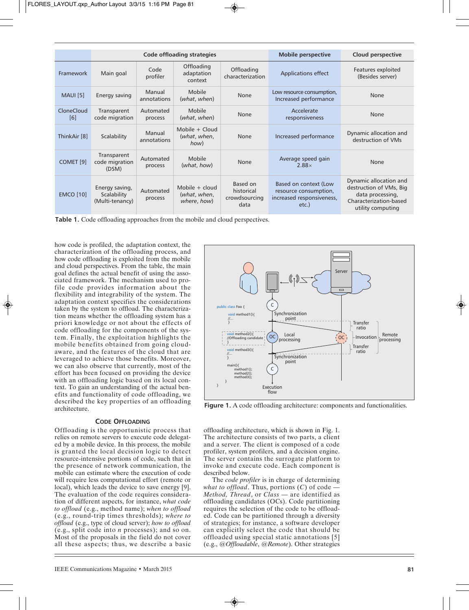|                      | Code offloading strategies                       |                       |                                               |                                                 | <b>Mobile perspective</b>                                                            | Cloud perspective                                                                                                    |
|----------------------|--------------------------------------------------|-----------------------|-----------------------------------------------|-------------------------------------------------|--------------------------------------------------------------------------------------|----------------------------------------------------------------------------------------------------------------------|
| Framework            | Main goal                                        | Code<br>profiler      | Offloading<br>adaptation<br>context           | Offloading<br>characterization                  | <b>Applications effect</b>                                                           | Features exploited<br>(Besides server)                                                                               |
| <b>MAUI</b> [5]      | Energy saving                                    | Manual<br>annotations | Mobile<br>(what, when)                        | None                                            | Low resource consumption,<br>Increased performance                                   | None                                                                                                                 |
| CloneCloud<br>[6]    | Transparent<br>code migration                    | Automated<br>process  | Mobile<br>(what, when)                        | None                                            | Accelerate<br>responsiveness                                                         | <b>None</b>                                                                                                          |
| ThinkAir [8]         | Scalability                                      | Manual<br>annotations | Mobile + Cloud<br>(what, when,<br>how)        | None                                            | Increased performance                                                                | Dynamic allocation and<br>destruction of VMs                                                                         |
| COMET <sup>[9]</sup> | Transparent<br>code migration<br>(DSM)           | Automated<br>process  | Mobile<br>(what, how)                         | None                                            | Average speed gain<br>$2.88\times$                                                   | None                                                                                                                 |
| <b>EMCO</b> [10]     | Energy saving,<br>Scalability<br>(Multi-tenancy) | Automated<br>process  | Mobile + cloud<br>(what, when,<br>where, how) | Based on<br>historical<br>crowdsourcing<br>data | Based on context (Low<br>resource consumption,<br>increased responsiveness,<br>etc.) | Dynamic allocation and<br>destruction of VMs, Big<br>data processing,<br>Characterization-based<br>utility computing |

**Table 1.** Code offloading approaches from the mobile and cloud perspectives.

how code is profiled, the adaptation context, the characterization of the offloading process, and how code offloading is exploited from the mobile and cloud perspectives. From the table, the main goal defines the actual benefit of using the associated framework. The mechanism used to profile code provides information about the flexibility and integrability of the system. The adaptation context specifies the considerations taken by the system to offload. The characterization means whether the offloading system has a priori knowledge or not about the effects of code offloading for the components of the system. Finally, the exploitation highlights the mobile benefits obtained from going cloudaware, and the features of the cloud that are leveraged to achieve those benefits. Moreover, we can also observe that currently, most of the effort has been focused on providing the device with an offloading logic based on its local context. To gain an understanding of the actual benefits and functionality of code offloading, we described the key properties of an offloading architecture.

#### **CODE OFFLOADING**

Offloading is the opportunistic process that relies on remote servers to execute code delegated by a mobile device. In this process, the mobile is granted the local decision logic to detect resource-intensive portions of code, such that in the presence of network communication, the mobile can estimate where the execution of code will require less computational effort (remote or local), which leads the device to save energy [9]. The evaluation of the code requires consideration of different aspects, for instance, *what code to offload* (e.g., method name); *when to offload* (e.g., round-trip times thresholds); *where to offload* (e.g., type of cloud server); *how to offload* (e.g., split code into *n* processes); and so on. Most of the proposals in the field do not cover all these aspects; thus, we describe a basic



Figure 1. A code offloading architecture: components and functionalities.

offloading architecture, which is shown in Fig. 1. The architecture consists of two parts, a client and a server. The client is composed of a code profiler, system profilers, and a decision engine. The server contains the surrogate platform to invoke and execute code. Each component is described below.

The *code profiler* is in charge of determining *what to offload*. Thus, portions (*C*) of code — *Method, Thread*, or *Class* — are identified as offloading candidates (OCs). Code partitioning requires the selection of the code to be offloaded. Code can be partitioned through a diversity of strategies; for instance, a software developer can explicitly select the code that should be offloaded using special static annotations [5] (e.g., *@Offloadable*, *@Remote*). Other strategies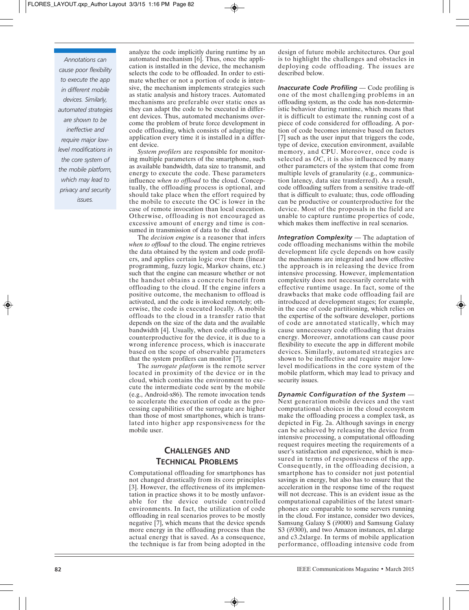*Annotations can cause poor flexibility to execute the app in different mobile devices. Similarly, automated strategies are shown to be ineffective and require major lowlevel modifications in the core system of the mobile platform, which may lead to privacy and security issues.*

analyze the code implicitly during runtime by an automated mechanism [6]. Thus, once the application is installed in the device, the mechanism selects the code to be offloaded. In order to estimate whether or not a portion of code is intensive, the mechanism implements strategies such as static analysis and history traces. Automated mechanisms are preferable over static ones as they can adapt the code to be executed in different devices. Thus, automated mechanisms overcome the problem of brute force development in code offloading, which consists of adapting the application every time it is installed in a different device.

*System profilers* are responsible for monitoring multiple parameters of the smartphone, such as available bandwidth, data size to transmit, and energy to execute the code. These parameters influence *when to offload* to the cloud. Conceptually, the offloading process is optional, and should take place when the effort required by the mobile to execute the OC is lower in the case of remote invocation than local execution. Otherwise, offloading is not encouraged as excessive amount of energy and time is consumed in transmission of data to the cloud.

The *decision engine* is a reasoner that infers *when to offload* to the cloud. The engine retrieves the data obtained by the system and code profilers, and applies certain logic over them (linear programming, fuzzy logic, Markov chains, etc.) such that the engine can measure whether or not the handset obtains a concrete benefit from offloading to the cloud. If the engine infers a positive outcome, the mechanism to offload is activated, and the code is invoked remotely; otherwise, the code is executed locally. A mobile offloads to the cloud in a transfer ratio that depends on the size of the data and the available bandwidth [4]. Usually, when code offloading is counterproductive for the device, it is due to a wrong inference process, which is inaccurate based on the scope of observable parameters that the system profilers can monitor [7].

The *surrogate platform* is the remote server located in proximity of the device or in the cloud, which contains the environment to execute the intermediate code sent by the mobile (e.g., Android-x86). The remote invocation tends to accelerate the execution of code as the processing capabilities of the surrogate are higher than those of most smartphones, which is translated into higher app responsiveness for the mobile user.

# **CHALLENGES AND TECHNICAL PROBLEMS**

Computational offloading for smartphones has not changed drastically from its core principles [3]. However, the effectiveness of its implementation in practice shows it to be mostly unfavorable for the device outside controlled environments. In fact, the utilization of code offloading in real scenarios proves to be mostly negative [7], which means that the device spends more energy in the offloading process than the actual energy that is saved. As a consequence, the technique is far from being adopted in the

design of future mobile architectures. Our goal is to highlight the challenges and obstacles in deploying code offloading. The issues are described below.

*Inaccurate Code Profiling* — Code profiling is one of the most challenging problems in an offloading system, as the code has non-deterministic behavior during runtime, which means that it is difficult to estimate the running cost of a piece of code considered for offloading. A portion of code becomes intensive based on factors [7] such as the user input that triggers the code, type of device, execution environment, available memory, and CPU. Moreover, once code is selected as *OC*, it is also influenced by many other parameters of the system that come from multiple levels of granularity (e.g., communication latency, data size transferred). As a result, code offloading suffers from a sensitive trade-off that is difficult to evaluate; thus, code offloading can be productive or counterproductive for the device. Most of the proposals in the field are unable to capture runtime properties of code, which makes them ineffective in real scenarios.

*Integration Complexity* — The adaptation of code offloading mechanisms within the mobile development life cycle depends on how easily the mechanisms are integrated and how effective the approach is in releasing the device from intensive processing. However, implementation complexity does not necessarily correlate with effective runtime usage. In fact, some of the drawbacks that make code offloading fail are introduced at development stages; for example, in the case of code partitioning, which relies on the expertise of the software developer, portions of code are annotated statically, which may cause unnecessary code offloading that drains energy. Moreover, annotations can cause poor flexibility to execute the app in different mobile devices. Similarly, automated strategies are shown to be ineffective and require major lowlevel modifications in the core system of the mobile platform, which may lead to privacy and security issues.

*Dynamic Configuration of the System* — Next generation mobile devices and the vast computational choices in the cloud ecosystem make the offloading process a complex task, as depicted in Fig. 2a. Although savings in energy can be achieved by releasing the device from intensive processing, a computational offloading request requires meeting the requirements of a user's satisfaction and experience, which is measured in terms of responsiveness of the app. Consequently, in the offloading decision, a smartphone has to consider not just potential savings in energy, but also has to ensure that the acceleration in the response time of the request will not decrease. This is an evident issue as the computational capabilities of the latest smartphones are comparable to some servers running in the cloud. For instance, consider two devices, Samsung Galaxy S (i9000) and Samsung Galaxy S3 (i9300), and two Amazon instances, m1.xlarge and c3.2xlarge. In terms of mobile application performance, offloading intensive code from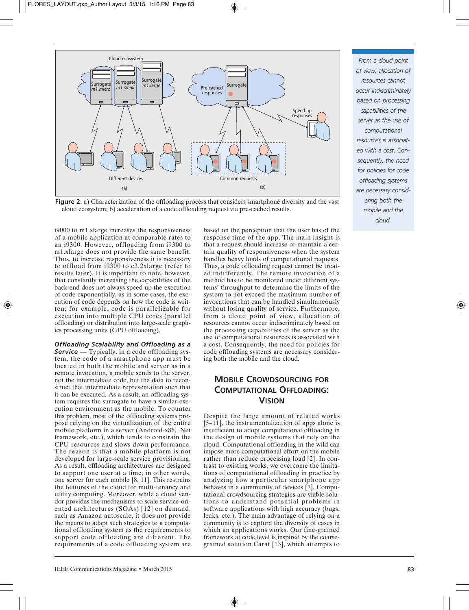

**Figure 2.** a) Characterization of the offloading process that considers smartphone diversity and the vast cloud ecosystem; b) acceleration of a code offloading request via pre-cached results.

i9000 to m1.xlarge increases the responsiveness of a mobile application at comparable rates to an i9300. However, offloading from i9300 to m1.xlarge does not provide the same benefit. Thus, to increase responsiveness it is necessary to offload from i9300 to c3.2xlarge (refer to results later). It is important to note, however, that constantly increasing the capabilities of the back-end does not always speed up the execution of code exponentially, as in some cases, the execution of code depends on how the code is written; for example, code is parallelizable for execution into multiple CPU cores (parallel offloading) or distribution into large-scale graphics processing units (GPU offloading).

*Offloading Scalability and Offloading as a* **Service** — Typically, in a code offloading system, the code of a smartphone app must be located in both the mobile and server as in a remote invocation, a mobile sends to the server, not the intermediate code, but the data to reconstruct that intermediate representation such that it can be executed. As a result, an offloading system requires the surrogate to have a similar execution environment as the mobile. To counter this problem, most of the offloading systems propose relying on the virtualization of the entire mobile platform in a server (Android-x86, .Net framework, etc.), which tends to constrain the CPU resources and slows down performance. The reason is that a mobile platform is not developed for large-scale service provisioning. As a result, offloading architectures are designed to support one user at a time, in other words, one server for each mobile [8, 11]. This restrains the features of the cloud for multi-tenancy and utility computing. Moreover, while a cloud vendor provides the mechanisms to scale service-oriented architectures (SOAs) [12] on demand, such as Amazon autoscale, it does not provide the means to adapt such strategies to a computational offloading system as the requirements to support code offloading are different. The requirements of a code offloading system are

based on the perception that the user has of the response time of the app. The main insight is that a request should increase or maintain a certain quality of responsiveness when the system handles heavy loads of computational requests. Thus, a code offloading request cannot be treated indifferently. The remote invocation of a method has to be monitored under different systems' throughput to determine the limits of the system to not exceed the maximum number of invocations that can be handled simultaneously without losing quality of service. Furthermore, from a cloud point of view, allocation of resources cannot occur indiscriminately based on the processing capabilities of the server as the use of computational resources is associated with a cost. Consequently, the need for policies for code offloading systems are necessary considering both the mobile and the cloud.

# **MOBILE CROWDSOURCING FOR COMPUTATIONAL OFFLOADING: VISION**

Despite the large amount of related works  $[5-11]$ , the instrumentalization of apps alone is insufficient to adopt computational offloading in the design of mobile systems that rely on the cloud. Computational offloading in the wild can impose more computational effort on the mobile rather than reduce processing load [2]. In contrast to existing works, we overcome the limitations of computational offloading in practice by analyzing how a particular smartphone app behaves in a community of devices [7]. Computational crowdsourcing strategies are viable solutions to understand potential problems in software applications with high accuracy (bugs, leaks, etc.). The main advantage of relying on a community is to capture the diversity of cases in which an applications works. Our fine-grained framework at code level is inspired by the coarsegrained solution Carat [13], which attempts to

*From a cloud point of view, allocation of resources cannot occur indiscriminately based on processing capabilities of the server as the use of computational resources is associated with a cost. Consequently, the need for policies for code offloading systems are necessary considering both the mobile and the cloud.*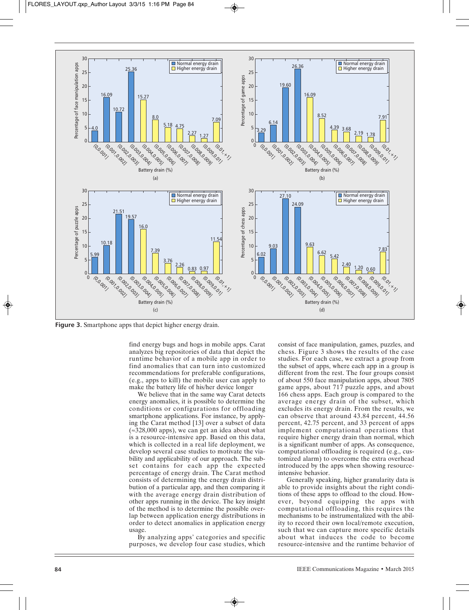

**Figure 3.** Smartphone apps that depict higher energy drain.

find energy bugs and hogs in mobile apps. Carat analyzes big repositories of data that depict the runtime behavior of a mobile app in order to find anomalies that can turn into customized recommendations for preferable configurations, (e.g., apps to kill) the mobile user can apply to make the battery life of his/her device longer

We believe that in the same way Carat detects energy anomalies, it is possible to determine the conditions or configurations for offloading smartphone applications. For instance, by applying the Carat method [13] over a subset of data  $(\approx 328,000$  apps), we can get an idea about what is a resource-intensive app. Based on this data, which is collected in a real life deployment, we develop several case studies to motivate the viability and applicability of our approach. The subset contains for each app the expected percentage of energy drain. The Carat method consists of determining the energy drain distribution of a particular app, and then comparing it with the average energy drain distribution of other apps running in the device. The key insight of the method is to determine the possible overlap between application energy distributions in order to detect anomalies in application energy usage.

By analyzing apps' categories and specific purposes, we develop four case studies, which consist of face manipulation, games, puzzles, and chess. Figure 3 shows the results of the case studies. For each case, we extract a group from the subset of apps, where each app in a group is different from the rest. The four groups consist of about 550 face manipulation apps, about 7805 game apps, about 717 puzzle apps, and about 166 chess apps. Each group is compared to the average energy drain of the subset, which excludes its energy drain. From the results, we can observe that around 43.84 percent, 44.56 percent, 42.75 percent, and 33 percent of apps implement computational operations that require higher energy drain than normal, which is a significant number of apps. As consequence, computational offloading is required (e.g., customized alarm) to overcome the extra overhead introduced by the apps when showing resourceintensive behavior.

Generally speaking, higher granularity data is able to provide insights about the right conditions of these apps to offload to the cloud. However, beyond equipping the apps with computational offloading, this requires the mechanisms to be instrumentalized with the ability to record their own local/remote execution, such that we can capture more specific details about what induces the code to become resource-intensive and the runtime behavior of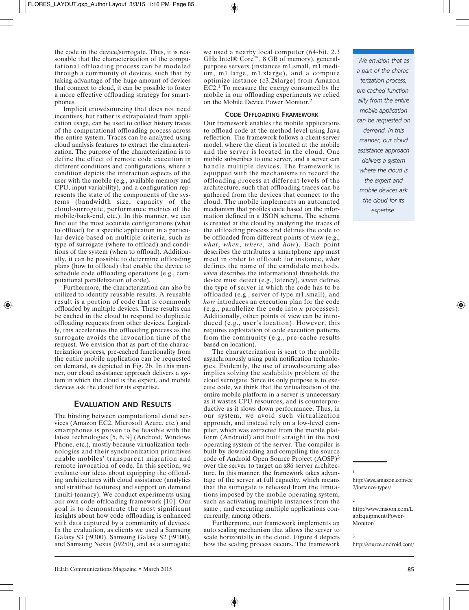the code in the device/surrogate. Thus, it is reasonable that the characterization of the computational offloading process can be modeled through a community of devices, such that by taking advantage of the huge amount of devices that connect to cloud, it can be possible to foster a more effective offloading strategy for smartphones.

Implicit crowdsourcing that does not need incentives, but rather is extrapolated from application usage, can be used to collect history traces of the computational offloading process across the entire system. Traces can be analyzed using cloud analysis features to extract the characterization. The purpose of the characterization is to define the effect of remote code execution in different conditions and configurations, where a condition depicts the interaction aspects of the user with the mobile (e.g., available memory and CPU, input variability), and a configuration represents the state of the components of the systems (bandwidth size, capacity of the cloud-surrogate, performance metrics of the mobile/back-end, etc.). In this manner, we can find out the most accurate configurations (what to offload) for a specific application in a particular device based on multiple criteria, such as type of surrogate (where to offload) and conditions of the system (when to offload). Additionally, it can be possible to determine offloading plans (how to offload) that enable the device to schedule code offloading operations (e.g., computational parallelization of code).

Furthermore, the characterization can also be utilized to identify reusable results. A reusable result is a portion of code that is commonly offloaded by multiple devices. These results can be cached in the cloud to respond to duplicate offloading requests from other devices. Logically, this accelerates the offloading process as the surrogate avoids the invocation time of the request. We envision that as part of the characterization process, pre-cached functionality from the entire mobile application can be requested on demand, as depicted in Fig. 2b. In this manner, our cloud assistance approach delivers a system in which the cloud is the expert, and mobile devices ask the cloud for its expertise.

# **EVALUATION AND RESULTS**

The binding between computational cloud services (Amazon EC2, Microsoft Azure, etc.) and smartphones is proven to be feasible with the latest technologies [5, 6, 9] (Android, Windows Phone, etc.), mostly because virtualization technologies and their synchronization primitives enable mobiles' transparent migration and remote invocation of code. In this section, we evaluate our ideas about equipping the offloading architectures with cloud assistance (analytics and stratified features) and support on demand (multi-tenancy). We conduct experiments using our own code offloading framework [10]. Our goal is to demonstrate the most significant insights about how code offloading is enhanced with data captured by a community of devices. In the evaluation, as clients we used a Samsung Galaxy S3 (i9300), Samsung Galaxy S2 (i9100), and Samsung Nexus (i9250), and as a surrogate;

we used a nearby local computer (64-bit, 2.3 GHz Intel® Core™, 8 GB of memory), generalpurpose servers (instances m1.small, m1.medium, m1.large, m1.xlarge), and a compute optimize instance (c3.2xlarge) from Amazon EC2.1 To measure the energy consumed by the mobile in our offloading experiments we relied on the Mobile Device Power Monitor.2

## **CODE OFFLOADING FRAMEWORK**

Our framework enables the mobile applications to offload code at the method level using Java reflection. The framework follows a client-server model, where the client is located at the mobile and the server is located in the cloud. One mobile subscribes to one server, and a server can handle multiple devices. The framework is equipped with the mechanisms to record the offloading process at different levels of the architecture, such that offloading traces can be gathered from the devices that connect to the cloud. The mobile implements an automated mechanism that profiles code based on the information defined in a JSON schema. The schema is created at the cloud by analyzing the traces of the offloading process and defines the code to be offloaded from different points of view (e.g., *what*, *when*, *where*, and *how*). Each point describes the attributes a smartphone app must meet in order to offload; for instance, *what* defines the name of the candidate methods, *when* describes the informational thresholds the device must detect (e.g., latency), *where* defines the type of server in which the code has to be offloaded (e.g., server of type m1.small), and *how* introduces an execution plan for the code (e.g., parallelize the code into *n* processes). Additionally, other points of view can be introduced (e.g., user's location). However, this requires exploitation of code execution patterns from the community (e.g., pre-cache results based on location).

The characterization is sent to the mobile asynchronously using push notification technologies. Evidently, the use of crowdsourcing also implies solving the scalability problem of the cloud surrogate. Since its only purpose is to execute code, we think that the virtualization of the entire mobile platform in a server is unnecessary as it wastes CPU resources, and is counterproductive as it slows down performance. Thus, in our system, we avoid such virtualization approach, and instead rely on a low-level compiler, which was extracted from the mobile platform (Android) and built straight in the host operating system of the server. The compiler is built by downloading and compiling the source code of Android Open Source Project (AOSP)3 over the server to target an x86 server architecture. In this manner, the framework takes advantage of the server at full capacity, which means that the surrogate is released from the limitations imposed by the mobile operating system, such as activating multiple instances from the same , and executing multiple applications concurrently, among others.

Furthermore, our framework implements an auto scaling mechanism that allows the server to scale horizontally in the cloud. Figure 4 depicts how the scaling process occurs. The framework

*We envision that as a part of the characterization process, pre-cached functionality from the entire mobile application can be requested on demand. In this manner, our cloud assistance approach delivers a system where the cloud is the expert and mobile devices ask the cloud for its expertise.*

http://aws.amazon.com/ec 2/instance-types/

http://www.msoon.com/L abEquipment/Power-Monitor/

1

2

<sup>3</sup>

http://source.android.com/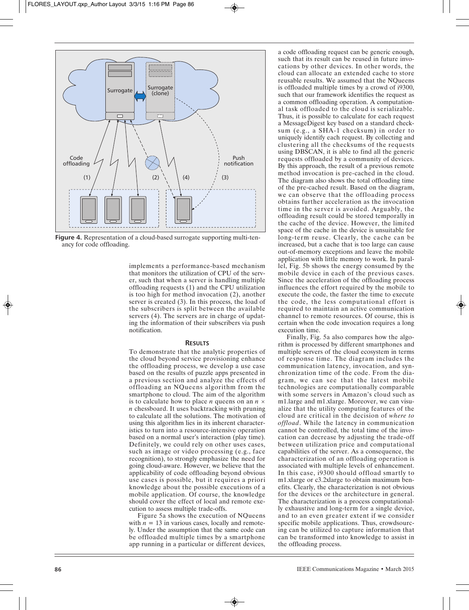

**Figure 4.** Representation of a cloud-based surrogate supporting multi-tenancy for code offloading.

implements a performance-based mechanism that monitors the utilization of CPU of the server, such that when a server is handling multiple offloading requests (1) and the CPU utilization is too high for method invocation (2), another server is created (3). In this process, the load of the subscribers is split between the available servers (4). The servers are in charge of updating the information of their subscribers via push notification.

#### **RESULTS**

To demonstrate that the analytic properties of the cloud beyond service provisioning enhance the offloading process, we develop a use case based on the results of puzzle apps presented in a previous section and analyze the effects of offloading an NQueens algorithm from the smartphone to cloud. The aim of the algorithm is to calculate how to place *n* queens on an  $n \times$ *n* chessboard. It uses backtracking with pruning to calculate all the solutions. The motivation of using this algorithm lies in its inherent characteristics to turn into a resource-intensive operation based on a normal user's interaction (play time). Definitely, we could rely on other uses cases, such as image or video processing (e.g., face recognition), to strongly emphasize the need for going cloud-aware. However, we believe that the applicability of code offloading beyond obvious use cases is possible, but it requires a priori knowledge about the possible executions of a mobile application. Of course, the knowledge should cover the effect of local and remote execution to assess multiple trade-offs.

Figure 5a shows the execution of NQueens with  $n = 13$  in various cases, locally and remotely. Under the assumption that the same code can be offloaded multiple times by a smartphone app running in a particular or different devices, a code offloading request can be generic enough, such that its result can be reused in future invocations by other devices. In other words, the cloud can allocate an extended cache to store reusable results. We assumed that the NQueens is offloaded multiple times by a crowd of i9300, such that our framework identifies the request as a common offloading operation. A computational task offloaded to the cloud is serializable. Thus, it is possible to calculate for each request a MessageDigest key based on a standard checksum (e.g., a SHA-1 checksum) in order to uniquely identify each request. By collecting and clustering all the checksums of the requests using DBSCAN, it is able to find all the generic requests offloaded by a community of devices. By this approach, the result of a previous remote method invocation is pre-cached in the cloud. The diagram also shows the total offloading time of the pre-cached result. Based on the diagram, we can observe that the offloading process obtains further acceleration as the invocation time in the server is avoided. Arguably, the offloading result could be stored temporally in the cache of the device. However, the limited space of the cache in the device is unsuitable for long-term reuse. Clearly, the cache can be increased, but a cache that is too large can cause out-of-memory exceptions and leave the mobile application with little memory to work. In parallel, Fig. 5b shows the energy consumed by the mobile device in each of the previous cases. Since the acceleration of the offloading process influences the effort required by the mobile to execute the code, the faster the time to execute the code, the less computational effort is required to maintain an active communication channel to remote resources. Of course, this is certain when the code invocation requires a long execution time.

Finally, Fig. 5a also compares how the algorithm is processed by different smartphones and multiple servers of the cloud ecosystem in terms of response time. The diagram includes the communication latency, invocation, and synchronization time of the code. From the diagram, we can see that the latest mobile technologies are computationally comparable with some servers in Amazon's cloud such as m1.large and m1.xlarge. Moreover, we can visualize that the utility computing features of the cloud are critical in the decision of *where to offload*. While the latency in communication cannot be controlled, the total time of the invocation can decrease by adjusting the trade-off between utilization price and computational capabilities of the server. As a consequence, the characterization of an offloading operation is associated with multiple levels of enhancement. In this case, i9300 should offload smartly to m1.xlarge or c3.2xlarge to obtain maximum benefits. Clearly, the characterization is not obvious for the devices or the architecture in general. The characterization is a process computationally exhaustive and long-term for a single device, and to an even greater extent if we consider specific mobile applications. Thus, crowdsourcing can be utilized to capture information that can be transformed into knowledge to assist in the offloading process.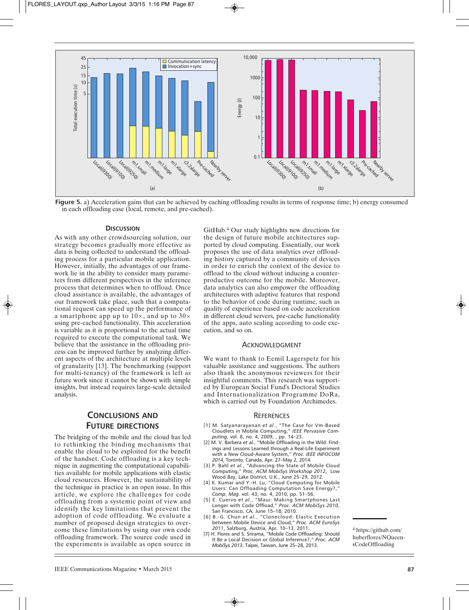

**Figure 5.** a) Acceleration gains that can be achieved by caching offloading results in terms of response time; b) energy consumed in each offloading case (local, remote, and pre-cached).

#### **DISCUSSION**

As with any other crowdsourcing solution, our strategy becomes gradually more effective as data is being collected to understand the offloading process for a particular mobile application. However, initially, the advantages of our framework lie in the ability to consider many parameters from different perspectives in the inference process that determines when to offload. Once cloud assistance is available, the advantages of our framework take place, such that a computational request can speed up the performance of a smartphone app up to  $10\times$ , and up to  $30\times$ using pre-cached functionality. This acceleration is variable as it is proportional to the actual time required to execute the computational task. We believe that the assistance in the offloading process can be improved further by analyzing different aspects of the architecture at multiple levels of granularity [13]. The benchmarking (support for multi-tenancy) of the framework is left as future work since it cannot be shown with simple insights, but instead requires large-scale detailed analysis.

# **CONCLUSIONS AND FUTURE DIRECTIONS**

The bridging of the mobile and the cloud has led to rethinking the binding mechanisms that enable the cloud to be exploited for the benefit of the handset. Code offloading is a key technique in augmenting the computational capabilities available for mobile applications with elastic cloud resources. However, the sustainability of the technique in practice is an open issue. In this article, we explore the challenges for code offloading from a systemic point of view and identify the key limitations that prevent the adoption of code offloading. We evaluate a number of proposed design strategies to overcome these limitations by using our own code offloading framework. The source code used in the experiments is available as open source in

GitHub.4 Our study highlights new directions for the design of future mobile architectures supported by cloud computing. Essentially, our work proposes the use of data analytics over offloading history captured by a community of devices in order to enrich the context of the device to offload to the cloud without inducing a counterproductive outcome for the mobile. Moreover, data analytics can also empower the offloading architectures with adaptive features that respond to the behavior of code during runtime, such as quality of experience based on code acceleration in different cloud servers, pre-cache functionality of the apps, auto scaling according to code execution, and so on.

### ACKNOWLEDGMENT

We want to thank to Eemil Lagerspetz for his valuable assistance and suggestions. The authors also thank the anonymous reviewers for their insightful comments. This research was supported by European Social Fund's Doctoral Studies and Internationalization Programme DoRa, which is carried out by Foundation Archimedes.

#### **REFERENCES**

- [1] M. Satyanarayanan *et al.*, "The Case for Vm-Based Cloudlets in Mobile Computing," *IEEE Pervasive Computing*, vol. 8, no. 4, 2009, , pp. 14–23.
- [2] M. V. Barbera *et al.*, "Mobile Offloading in the Wild: Findings and Lessons Learned through a Real-Life Experiment with a New Cloud-Aware System," *Proc. IEEE INFOCOM 2014*, Toronto, Canada, Apr. 27–May 2, 2014.
- [3] P. Bahl *et al.*, "Advancing the State of Mobile Cloud Computing," *Proc. ACM MobiSys Workshop 2012*, Low Wood Bay, Lake District, U.K., June 25–29, 2012.
- [4] K. Kumar and Y.-H. Lu, "Cloud Computing for Mobile Users: Can Offloading Computation Save Energy?," *Comp. Mag.* vol. 43, no. 4, 2010, pp. 51–56.
- [5] E. Cuervo *et al.*, "Maui: Making Smartphones Last Longer with Code Offload," *Proc. ACM MobiSys 2010*, San Francisco, CA, June 15–18, 2010.
- [6] B.-G. Chun *et al.*, "Clonecloud: Elastic Execution between Mobile Device and Cloud," *Proc. ACM EuroSys 2011*, Salzburg, Austria, Apr. 10–13, 2011.
- H. Flores and S. Srirama, "Mobile Code Offloading: Should It Be a Local Decision or Global Inference?," *Proc. ACM MobiSys 2013*, Taipei, Taiwan, June 25–28, 2013.

<sup>4</sup> https://github.com/ huberflores/NQueensCodeOffloading